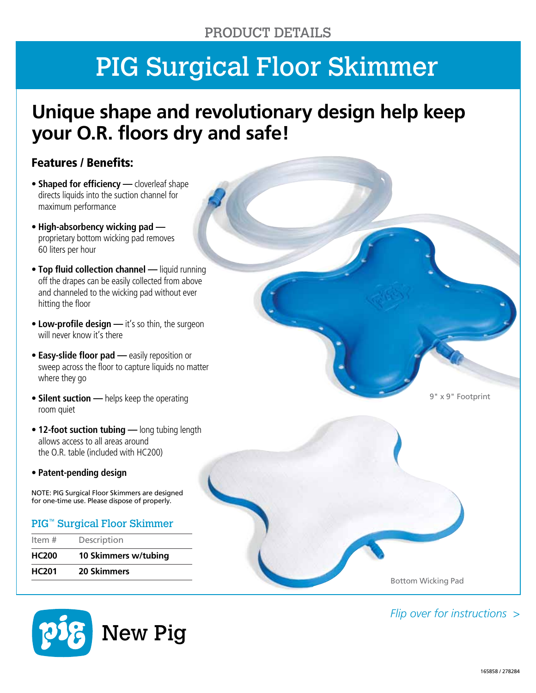# PIG Surgical Floor Skimmer

### **Unique shape and revolutionary design help keep your O.R. floors dry and safe!**

#### Features / Benefits:

- **Shaped for efficiency —** cloverleaf shape directs liquids into the suction channel for maximum performance
- **High-absorbency wicking pad**  proprietary bottom wicking pad removes 60 liters per hour
- **Top fluid collection channel —** liquid running off the drapes can be easily collected from above and channeled to the wicking pad without ever hitting the floor
- **Low-profile design —** it's so thin, the surgeon will never know it's there
- **Easy-slide floor pad —** easily reposition or sweep across the floor to capture liquids no matter where they go
- **Silent suction —** helps keep the operating room quiet
- **12-foot suction tubing —** long tubing length allows access to all areas around the O.R. table (included with HC200)
- **Patent-pending design**

NOTE: PIG Surgical Floor Skimmers are designed for one-time use. Please dispose of properly.

#### PIG™ Surgical Floor Skimmer

| Item $#$     | Description          |
|--------------|----------------------|
| <b>HC200</b> | 10 Skimmers w/tubing |
| <b>HC201</b> | <b>20 Skimmers</b>   |



9" x 9" Footprint

*Flip over for instructions >*

Bottom Wicking Pad